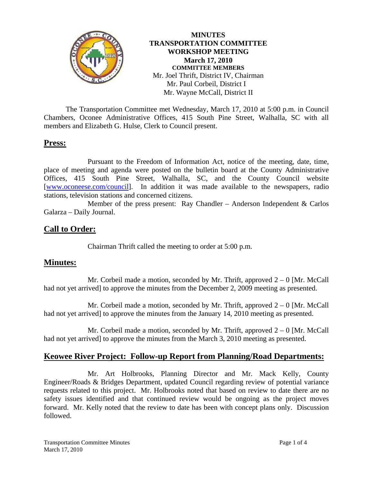

**MINUTES TRANSPORTATION COMMITTEE WORKSHOP MEETING March 17, 2010 COMMITTEE MEMBERS**  Mr. Joel Thrift, District IV, Chairman Mr. Paul Corbeil, District I Mr. Wayne McCall, District II

 The Transportation Committee met Wednesday, March 17, 2010 at 5:00 p.m. in Council Chambers, Oconee Administrative Offices, 415 South Pine Street, Walhalla, SC with all members and Elizabeth G. Hulse, Clerk to Council present.

## **Press:**

 Pursuant to the Freedom of Information Act, notice of the meeting, date, time, place of meeting and agenda were posted on the bulletin board at the County Administrative Offices, 415 South Pine Street, Walhalla, SC, and the County Council website [[www.oconeese.com/council](http://www.oconeese.com/council)]. In addition it was made available to the newspapers, radio stations, television stations and concerned citizens.

 Member of the press present: Ray Chandler – Anderson Independent & Carlos Galarza – Daily Journal.

## **Call to Order:**

Chairman Thrift called the meeting to order at 5:00 p.m.

## **Minutes:**

Mr. Corbeil made a motion, seconded by Mr. Thrift, approved  $2 - 0$  [Mr. McCall] had not yet arrived] to approve the minutes from the December 2, 2009 meeting as presented.

Mr. Corbeil made a motion, seconded by Mr. Thrift, approved  $2 - 0$  [Mr. McCall] had not yet arrived] to approve the minutes from the January 14, 2010 meeting as presented.

Mr. Corbeil made a motion, seconded by Mr. Thrift, approved  $2 - 0$  [Mr. McCall] had not yet arrived] to approve the minutes from the March 3, 2010 meeting as presented.

## **Keowee River Project: Follow-up Report from Planning/Road Departments:**

 Mr. Art Holbrooks, Planning Director and Mr. Mack Kelly, County Engineer/Roads & Bridges Department, updated Council regarding review of potential variance requests related to this project. Mr. Holbrooks noted that based on review to date there are no safety issues identified and that continued review would be ongoing as the project moves forward. Mr. Kelly noted that the review to date has been with concept plans only. Discussion followed.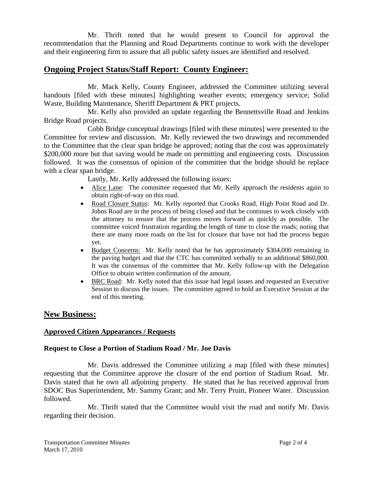Mr. Thrift noted that he would present to Council for approval the recommendation that the Planning and Road Departments continue to work with the developer and their engineering firm to assure that all public safety issues are identified and resolved.

# **Ongoing Project Status/Staff Report: County Engineer:**

 Mr. Mack Kelly, County Engineer, addressed the Committee utilizing several handouts [filed with these minutes] highlighting weather events; emergency service; Solid Waste, Building Maintenance, Sheriff Department & PRT projects.

Mr. Kelly also provided an update regarding the Bennettsville Road and Jenkins Bridge Road projects.

 Cobb Bridge conceptual drawings [filed with these minutes] were presented to the Committee for review and discussion. Mr. Kelly reviewed the two drawings and recommended to the Committee that the clear span bridge be approved; noting that the cost was approximately \$200,000 more but that saving would be made on permitting and engineering costs. Discussion followed. It was the consensus of opinion of the committee that the bridge should be replace with a clear span bridge.

Lastly, Mr. Kelly addressed the following issues:

- Alice Lane: The committee requested that Mr. Kelly approach the residents again to obtain right-of-way on this road.
- Road Closure Status: Mr. Kelly reported that Crooks Road, High Point Road and Dr. Johns Road are in the process of being closed and that he continues to work closely with the attorney to ensure that the process moves forward as quickly as possible. The committee voiced frustration regarding the length of time to close the roads; noting that there are many more roads on the list for closure that have not had the process begun yet.
- Budget Concerns: Mr. Kelly noted that he has approximately \$304,000 remaining in the paving budget and that the CTC has committed verbally to an additional \$860,000. It was the consensus of the committee that Mr. Kelly follow-up with the Delegation Office to obtain written confirmation of the amount.
- BRC Road: Mr. Kelly noted that this issue had legal issues and requested an Executive Session to discuss the issues. The committee agreed to hold an Executive Session at the end of this meeting.

## **New Business:**

### **Approved Citizen Appearances / Requests**

#### **Request to Close a Portion of Stadium Road / Mr. Joe Davis**

 Mr. Davis addressed the Committee utilizing a map [filed with these minutes] requesting that the Committee approve the closure of the end portion of Stadium Road. Mr. Davis stated that he own all adjoining property. He stated that he has received approval from SDOC Bus Superintendent, Mr. Sammy Grant; and Mr. Terry Pruitt, Pioneer Water. Discussion followed.

 Mr. Thrift stated that the Committee would visit the road and notify Mr. Davis regarding their decision.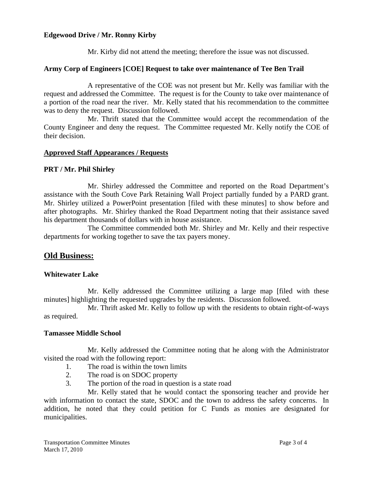### **Edgewood Drive / Mr. Ronny Kirby**

Mr. Kirby did not attend the meeting; therefore the issue was not discussed.

#### **Army Corp of Engineers [COE] Request to take over maintenance of Tee Ben Trail**

 A representative of the COE was not present but Mr. Kelly was familiar with the request and addressed the Committee. The request is for the County to take over maintenance of a portion of the road near the river. Mr. Kelly stated that his recommendation to the committee was to deny the request. Discussion followed.

 Mr. Thrift stated that the Committee would accept the recommendation of the County Engineer and deny the request. The Committee requested Mr. Kelly notify the COE of their decision.

#### **Approved Staff Appearances / Requests**

#### **PRT / Mr. Phil Shirley**

Mr. Shirley addressed the Committee and reported on the Road Department's assistance with the South Cove Park Retaining Wall Project partially funded by a PARD grant. Mr. Shirley utilized a PowerPoint presentation [filed with these minutes] to show before and after photographs. Mr. Shirley thanked the Road Department noting that their assistance saved his department thousands of dollars with in house assistance.

The Committee commended both Mr. Shirley and Mr. Kelly and their respective departments for working together to save the tax payers money.

## **Old Business:**

#### **Whitewater Lake**

Mr. Kelly addressed the Committee utilizing a large map [filed with these minutes] highlighting the requested upgrades by the residents. Discussion followed.

 Mr. Thrift asked Mr. Kelly to follow up with the residents to obtain right-of-ways as required.

#### **Tamassee Middle School**

 Mr. Kelly addressed the Committee noting that he along with the Administrator visited the road with the following report:

- 1. The road is within the town limits
- 2. The road is on SDOC property
- 3. The portion of the road in question is a state road

Mr. Kelly stated that he would contact the sponsoring teacher and provide her with information to contact the state, SDOC and the town to address the safety concerns. In addition, he noted that they could petition for C Funds as monies are designated for municipalities.